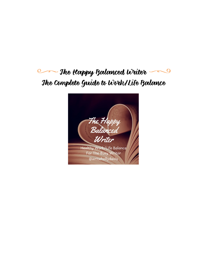#### The Happy Balanced Writer  $\overline{\mathcal{Q}}$ Q The Complete Guide to Work/Life Balance

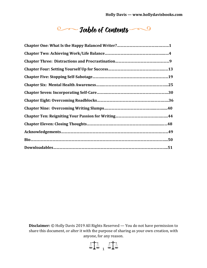**Communication** of Contents

**Disclaimer:** © Holly Davis 2019 All Rights Reserved — You do not have permission to share this document, or alter it with the purpose of sharing as your own creation, with anyone, for any reason.

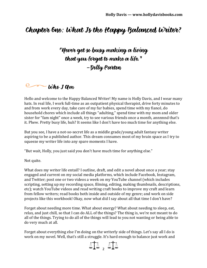#### Chapter One: What Is the Happy Balanced Writer?

"Never get so busy making a living that you forget to make a life." –Dolly Parton

#### $\circledcirc$  who *J* am

Hello and welcome to the Happy Balanced Writer! My name is Holly Davis, and I wear many hats. In real life, I work full-time as an outpatient physical therapist, drive forty minutes to and from work every day, take care of my fur babies, spend time with my fiancé, do household chores which include all things "adulting," spend time with my mom and older sister for "fam night" once a week, try to see various friends once a month, annnnnd that's it. Phew. Pretty busy life, huh? It seems like I don't have too much time for anything else.

But you see, I have a not-so-secret life as a middle grade/young adult fantasy writer aspiring to be a published author. This dream consumes most of my brain space as I try to squeeze my writer life into any spare moments I have.

"But wait, Holly, you just said you don't have much time for anything else."

Not quite.

What does my writer life entail? I outline, draft, and edit a novel about once a year; stay engaged and current on my social media platforms, which include Facebook, Instagram, and Twitter; post one or two videos a week on my YouTube channel (which includes scripting, setting up my recording space, filming, editing, making thumbnails, descriptions, etc); watch YouTube videos and read writing craft books to improve my craft and learn from fellow writers; read books both inside and outside of my genre; and work on side projects like this workbook! Okay, now what did I say about all that time I don't have?

Forget about needing more time. What about energy? What about needing to sleep, eat, relax, and just chill, so that I can do ALL of the things? The thing is, we're not meant to do all of the things. Trying to do all of the things will lead to you not wanting or being able to do very much at all.

Forget about everything else I'm doing on the writerly side of things. Let's say all I do is work on my novel. Well, that's still a struggle. It's hard enough to balance just work and

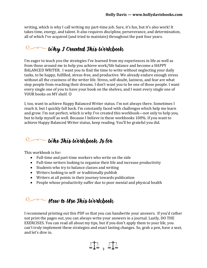writing, which is why I call writing my part-time job. Sure, it's fun, but it's also work! It takes time, energy, and talent. It also requires discipline, perseverance, and determination, all of which I've acquired (and tried to maintain) throughout the past four years.

### **Come Why I Created This Workbook**

I'm eager to teach you the strategies I've learned from my experiences in life as well as from those around me to help you achieve work/life balance and become a HAPPY BALANCED WRITER. I want you to find the time to write without neglecting your daily tasks, to be happy, fulfilled, stress-free, and productive. We already endure enough stress without all the craziness of the writer life. Stress, self-doubt, laziness, and fear are what stop people from reaching their dreams. I don't want you to be one of those people. I want every single one of you to have your book on the shelves, and I want every single one of YOUR books on MY shelf.  $\odot$ 

I, too, want to achieve Happy Balanced Writer status. I'm not always there. Sometimes I reach it, but I quickly fall back. I'm constantly faced with challenges which help me learn and grow. I'm not perfect, which is why I've created this workbook—not only to help you, but to help myself as well. Because I believe in these workbooks 100%. If you want to achieve Happy Balanced Writer status, keep reading. You'll be grateful you did.

## **Come Who This Workbook Is for**

This workbook is for:

- Full-time and part-time workers who write on the side
- Full-time writers looking to organize their life and increase productivity
- Students who try to balance classes and writing
- Writers looking to self- or traditionally publish
- Writers at all points in their journey towards publication
- People whose productivity suffer due to poor mental and physical health

#### $-$  How to Use This Workbook

I recommend printing out this PDF so that you can handwrite your answers. If you'd rather not print the pages out, you can always write your answers in a journal. Lastly, DO THE EXERCISES. You can read all about my tips, but if you don't apply them to your life, you can't truly implement these strategies and exact lasting changes. So, grab a pen, have a seat, and let's dive in.

 $\Delta T$  ,  $\Delta T$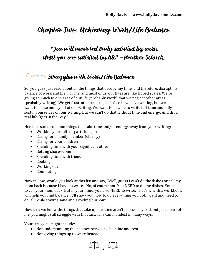## Chapter Two: Achieving Work/Life Balance

#### "You will never feel truly satisfied by work Until you are satisfied by life"  $-$  Heather Schuck

## Struggles with Work/Life Balance

So, you guys just read about all the things that occupy my time, and therefore, disrupt my balance of work and life. For me, and most of us, our lives are like tipped scales. We're giving so much to one area of our life (probably work) that we neglect other areas (probably writing). We get frustrated because, let's face it, we love writing, but we also want to make money off of our writing. We want to be able to write full-time and fully sustain ourselves off our writing. But we can't do that without time and energy. And thus, real life "gets in the way."

Here are some common things that take time and/or energy away from your writing:

- Working your full- or part-time job
- Caring for a family member (elderly)
- Caring for your children
- Spending time with your significant other
- Getting chores done
- Spending time with friends
- Cooking
- Working out
- Commuting

Now tell me, would you look at this list and say, "Well, guess I can't do the dishes or call my mom back because I have to write." No, of course not. You NEED to do the dishes. You need to call your mom back. But in your mind, you also NEED to write. That's why this workbook will help you find balance. It'll show you how to do everything you both want and need to do, all while staying sane and avoiding burnout.

Now that we know the things that take up our time aren't necessarily bad, but just a part of life, you might still struggle with that fact. This can manifest in many ways.

Your struggles might include:

- Not understanding the balance between discipline and rest
- Not giving things up to write instead

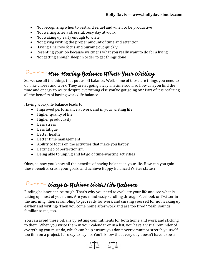- Not recognizing when to rest and refuel and when to be productive
- Not writing after a stressful, busy day at work
- Not waking up early enough to write
- Not giving writing the proper amount of time and attention
- Having a narrow focus and burning out quickly
- Resenting your job because writing is what you really want to do for a living
- Not getting enough sleep in order to get things done

#### $\Omega$ . How Having Balance Affects Your Writing

So, we see all the things that put us off balance. Well, some of those are things you need to do, like chores and work. They aren't going away anytime soon, so how can you find the time and energy to write despite everything else you've got going on? Part of it is realizing all the benefits of having work/life balance.

Having work/life balance leads to:

- Improved performance at work and in your writing life
- Higher quality of life
- Higher productivity
- Less stress
- Less fatigue
- Better health
- Better time management
- Ability to focus on the activities that make you happy
- Letting go of perfectionism
- Being able to unplug and let go of time-wasting activities

Okay, so now you know all the benefits of having balance in your life. How can you gain these benefits, crush your goals, and achieve Happy Balanced Writer status?

#### **Communists** We are the United States

Finding balance can be tough. That's why you need to evaluate your life and see what is taking up most of your time. Are you mindlessly scrolling through Facebook or Twitter in the morning, then scrambling to get ready for work and cursing yourself for not waking up earlier and writing? Then you come home after work and are too tired? Yeah, sounds familiar to me, too.

You can avoid these pitfalls by setting commitments for both home and work and sticking to them. When you write them in your calendar or in a list, you have a visual reminder of everything you must do, which can help ensure you don't overcommit or stretch yourself too thin on a project. It's okay to say no. You'll know that every day doesn't have to be a

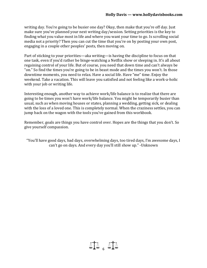writing day. You're going to be busier one day? Okay, then make that you're off day. Just make sure you've planned your next writing day/session. Setting priorities is the key to finding what you value most in life and where you want your time to go. Is scrolling social media not a priority? Then you can cut the time that you're on by posting your own post, engaging in a couple other peoples' posts, then moving on.

Part of sticking to your priorities—aka writing—is having the discipline to focus on that one task, even if you'd rather be binge-watching a Netflix show or sleeping in. It's all about regaining control of your life. But of course, you need that down time and can't always be "on." So find the times you're going to be in beast mode and the times you won't. In those downtime moments, you need to relax. Have a social life. Have "me" time. Enjoy the weekend. Take a vacation. This will leave you satisfied and not feeling like a work-a-holic with your job or writing life.

Interesting enough, another way to achieve work/life balance is to realize that there are going to be times you won't have work/life balance. You might be temporarily busier than usual, such as when moving houses or states, planning a wedding, getting sick, or dealing with the loss of a loved one. This is completely normal. When the craziness settles, you can jump back on the wagon with the tools you've gained from this workbook.

Remember, goals are things you have control over. Hopes are the things that you don't. So give yourself compassion.

"You'll have good days, bad days, overwhelming days, too tired days, I'm awesome days, I can't go on days. And every day you'll still show up." -Unknown

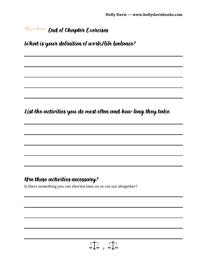**End of Chapter Exercises** 

What is your definition of work/life balance?

List the activities you do most often and how long they take

#### Are these activities necessary?

Is there something you can shorten time on or cut out altogether?

 $\Delta T$  ,  $\Delta T$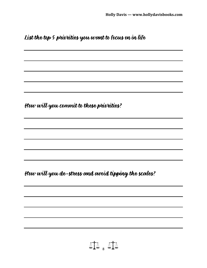List the top 5 priorities you want to focus on in life

How will you commit to these priorities?

How will you de-stress and avoid tipping the scales?

$$
\Delta \text{A}_s \text{A}_s
$$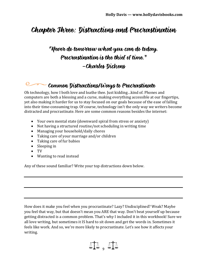## Chapter Three: Distractions and Procrastination

### "Never do tomorrow what you can do today. Procrastination is the thief of time." –Charles Dickens

## Common Distractions/Ways to Procrastinate

Oh technology, how I both love and loathe thee. Just kidding…kind of. Phones and computers are both a blessing and a curse, making everything accessible at our fingertips, yet also making it harder for us to stay focused on our goals because of the ease of falling into their time-consuming trap. Of course, technology isn't the only way we writers become distracted and procrastinate. Here are some common reasons besides the internet:

- Your own mental state (downward spiral from stress or anxiety)
- Not having a structured routine/not scheduling in writing time
- Managing your household/daily chores
- Taking care of your marriage and/or children
- Taking care of fur babies
- Sleeping in
- TV
- Wanting to read instead

Any of these sound familiar? Write your top distractions down below.

How does it make you feel when you procrastinate? Lazy? Undisciplined? Weak? Maybe you feel that way, but that doesn't mean you ARE that way. Don't beat yourself up because getting distracted is a common problem. That's why I included it in this workbook! Sure we all love writing, but sometimes it IS hard to sit down and get the words in. Sometimes it feels like work. And so, we're more likely to procrastinate. Let's see how it affects your writing.

 $\Delta T$  ,  $\Delta T$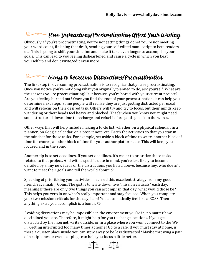## **Example 10** How Distractions/Procrastination Affect Your Writing

Obviously, if you're procrastinating, you're not getting things done! You're not meeting your word count, finishing that draft, sending your self-edited manuscript to beta readers, etc. This is going to shift your timeline and make it take even longer to accomplish your goals. This can lead to you feeling disheartened and cause a cycle in which you beat yourself up and don't write/edit even more.

#### $Q_{\mathscr{I}}$ Ways to Overcome Distractions/Procrastination

The first step in overcoming procrastination is to recognize that you're procrastinating. Once you notice you're not doing what you originally planned to do, ask yourself: What are the reasons you're procrastinating? Is it because you're bored with your current project? Are you feeling burned out? Once you find the root of your procrastination, it can help you determine next steps. Some people will realize they are just getting distracted per usual and will refocus on their desired task. Others will try and try to focus, but their minds keep wandering or their heads feel heavy and blocked. That's when you know you might need some structured down time to recharge and refuel before getting back to the words.

Other ways that will help include making a to-do list, whether on a physical calendar, in a planner, on Google calendar, on a post-it note, etc. Batch the activities so that you stay in the mindset for those tasks. For example, set aside a block of time to write, another block of time for chores, another block of time for your author platform, etc. This will keep you focused and in the zone.

Another tip is to set deadlines. If you set deadlines, it's easier to prioritize those tasks related to that project. And with a specific date in mind, you're less likely to become derailed by shiny new ideas or the distractions you listed above, because hey, who doesn't want to meet their goals and tell the world about it?

Speaking of prioritizing your activities, I learned this excellent strategy from my good friend, Savannah J. Goins. The gist is to write down two "mission criticals" each day, meaning if there are only two things you can accomplish that day, what would those be? This helps you zero in on what's really important and stay focused. When you complete your two mission criticals for the day, bam! You automatically feel like a BOSS. Then anything extra you accomplish is a bonus.

Avoiding distractions may be impossible in the environment you're in, no matter how disciplined you are. Therefore, it might help for you to change locations. If you get distracted by the internet, write outside, or in a place where you won't connect to the Wi-Fi. Getting interrupted too many times at home? Go to a café. If you must stay at home, is there a quieter place inside you can stow away to be less distracted? Maybe throwing a pair of headphones or even ear plugs can help you focus a little better.

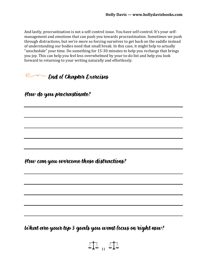And lastly, procrastination is not a self-control issue. You have self-control. It's your selfmanagement and emotions that can push you towards procrastination. Sometimes we push through distractions, but we're more so forcing ourselves to get back on the saddle instead of understanding our bodies need that small break. In this case, it might help to actually "unschedule" your time. Do something for 15-30 minutes to help you recharge that brings you joy. This can help you feel less overwhelmed by your to-do list and help you look forward to returning to your writing naturally and effortlessly.

#### **End of Chapter Exercises**

How do you procrastinate?

How can you overcome these distractions?

What are your top 3 goals you want focus on right now?

**11** .. 11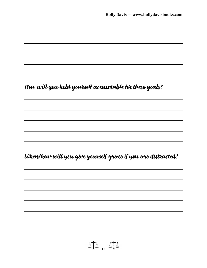How will you hold yourself accountable for these goals? When/how will you give yourself grace if you are distracted?

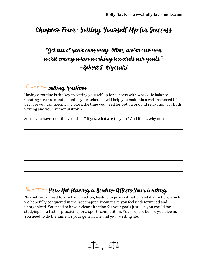### Chapter Four: Setting Yourself Up for Success

#### "Get out of your own way. Often, we're our own worst enemy when working towards our goals." –Robert T. Kiyosaki

### **Setting Routines**

Having a routine is the key to setting yourself up for success with work/life balance. Creating structure and planning your schedule will help you maintain a well-balanced life because you can specifically block the time you need for both work and relaxation, for both writing and your author platform.

So, do you have a routine/routines? If yes, what are they for? And if not, why not?

#### $\sim$  How Not Having a Routine Affects Your Writing

No routine can lead to a lack of direction, leading to procrastination and distraction, which we hopefully conquered in the last chapter. It can make you feel undetermined and unorganized. You need to have a clear direction for your goals just like you would for studying for a test or practicing for a sports competition. You prepare before you dive in. You need to do the same for your general life and your writing life.

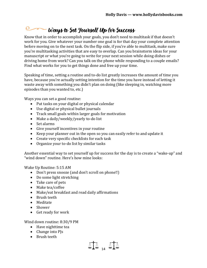#### $\circ$ Ways to Set Yourself Up for Success

Know that in order to accomplish your goals, you don't need to multitask if that doesn't work for you. Give whatever your number one goal is for that day your complete attention before moving on to the next task. On the flip side, if you're able to multitask, make sure you're multitasking activities that are easy to overlap. Can you brainstorm ideas for your manuscript or what you're going to write for your next session while doing dishes or driving home from work? Can you talk on the phone while responding to a couple emails? Find what works for you to get things done and free up your time.

Speaking of time, setting a routine and to-do list greatly increases the amount of time you have, because you're actually setting intention for the time you have instead of letting it waste away with something you didn't plan on doing (like sleeping in, watching more episodes than you wanted to, etc.)

Ways you can set a good routine:

- Put tasks on your digital or physical calendar
- Use digital or physical bullet journals
- Track small goals within larger goals for motivation
- Make a daily/weekly/yearly to-do list
- Set alarms
- Give yourself incentives in your routine
- Keep your planner out in the open so you can easily refer to and update it
- Create very specific checklists for each task
- Organize your to-do list by similar tasks

Another essential way to set yourself up for success for the day is to create a "wake-up" and "wind down" routine. Here's how mine looks:

Wake Up Routine: 5:15 AM

- Don't press snooze (and don't scroll on phone!!)
- Do some light stretching
- Take care of pets
- Make tea/coffee
- Make/eat breakfast and read daily affirmations
- Brush teeth
- Meditate
- Shower
- Get ready for work

Wind down routine: 8:30/9 PM

- Have nighttime tea
- Change into PJs
- Brush teeth

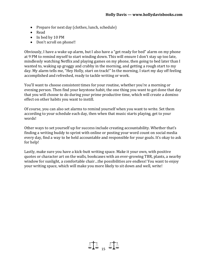- Prepare for next day (clothes, lunch, schedule)
- Read
- In bed by 10 PM
- Don't scroll on phone!!

Obviously, I have a wake up alarm, but I also have a "get ready for bed" alarm on my phone at 9 PM to remind myself to start winding down. This will ensure I don't stay up too late, mindlessly watching Netflix and playing games on my phone, then going to bed later than I wanted to, waking up groggy and crabby in the morning, and getting a rough start to my day. My alarm tells me, "Hey Holly, start on track!" In the morning, I start my day off feeling accomplished and refreshed, ready to tackle writing or work.

You'll want to choose consistent times for your routine, whether you're a morning or evening person. Then find your keystone habit, the one thing you want to get done that day that you will choose to do during your prime productive time, which will create a domino effect on other habits you want to instill.

Of course, you can also set alarms to remind yourself when you want to write. Set them according to your schedule each day, then when that music starts playing, get to your words!

Other ways to set yourself up for success include creating accountability. Whether that's finding a writing buddy to sprint with online or posting your word count on social media every day, find a way to be held accountable and responsible for your goals. It's okay to ask for help!

Lastly, make sure you have a kick-butt writing space. Make it your own, with positive quotes or character art on the walls, bookcases with an ever-growing TBR, plants, a nearby window for sunlight, a comfortable chair…the possibilities are endless! You want to enjoy your writing space, which will make you more likely to sit down and well, write!

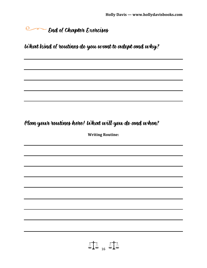## **End of Chapter Exercises**

What kind of routines do you want to adopt and why?

#### Plan your routines here! What will you do and when?

**Writing Routine:**

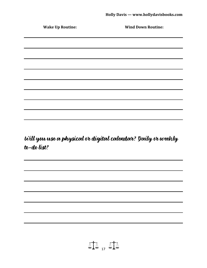| <b>Wake Up Routine:</b>                                                                                               | <b>Wind Down Routine:</b> |
|-----------------------------------------------------------------------------------------------------------------------|---------------------------|
| <u> 1989 - Johann Barn, mars ann an t-Amhainn an t-Amhainn an t-Amhainn an t-Amhainn an t-Amhainn an t-Amhainn an</u> |                           |
|                                                                                                                       |                           |
| <u> 1989 - Johann Barn, amerikan bernama di sebagai bernama di sebagai bernama di sebagai bernama di sebagai ber</u>  |                           |
|                                                                                                                       |                           |
|                                                                                                                       |                           |
|                                                                                                                       |                           |
|                                                                                                                       |                           |
| <u> 1989 - Johann Stoff, amerikansk politiker (d. 1989)</u>                                                           |                           |
|                                                                                                                       |                           |
|                                                                                                                       |                           |
|                                                                                                                       |                           |

Will you use a physical or digital calendar? Daily or weekly to-do list?

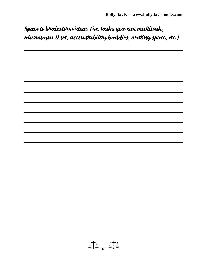### Space to brainstorm ideas (i.e. tasks you can multitask, alarms you'll set, accountability buddies, writing space, etc.)

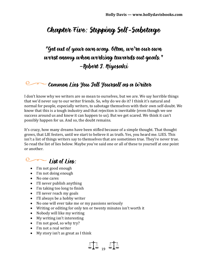## Chapter Five: Stopping Self-Sabotage

### "Get out of your own way. Often, we're our own worst enemy when working towards out goals." –Robert T. Kiyosaki

#### Common Lies You Jell Yourself as a Writer

I don't know why we writers are so mean to ourselves, but we are. We say horrible things that we'd never say to our writer friends. So, why do we do it? I think it's natural and normal for people, especially writers, to sabotage themselves with their own self-doubt. We know that this is a tough industry and that rejection is inevitable (even though we see success around us and know it can happen to us). But we get scared. We think it can't possibly happen for us. And so, the doubt remains.

It's crazy, how many dreams have been stifled because of a simple thought. That thought grows, that LIE festers, until we start to believe it as truth. Yes, you heard me. LIES. This isn't a list of things writers say to themselves that are sometimes true. They're never true. So read the list of lies below. Maybe you've said one or all of these to yourself at one point or another.

#### $Q_{\mathscr{F}}$  $-$  *List of Lies:*

- I'm not good enough
- I'm not doing enough
- No one cares
- I'll never publish anything
- I'm taking too long to finish
- I'll never reach my goals
- I'll always be a hobby writer
- No one will ever take me or my passions seriously
- Writing or editing for only ten or twenty minutes isn't worth it
- Nobody will like my writing
- My writing isn't interesting
- I'm not good, so why try?
- I'm not a real writer
- My story isn't as great as I think

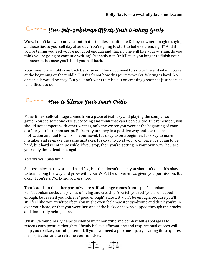## How Self-Sabotage Affects Your Writing Goals

Wow. I don't know about you, but that list of lies is quite the Debby-downer. Imagine saying all those lies to yourself day after day. You're going to start to believe them, right? And if you're telling yourself you're not good enough and that no one will like your writing, do you think you're going to continue writing? Probably not. Or it'll take you longer to finish your manuscript because you'll hold yourself back.

Your inner critic holds you back because you think you need to skip to the end when you're at the beginning or the middle. But that's not how this journey works. Writing is hard. No one said it would be easy. But you don't want to miss out on creating greatness just because it's difficult to do.

#### $\blacktriangleright$  How to Silence Your Inner Critic

Many times, self-sabotage comes from a place of jealousy and playing the comparison game. You see someone else succeeding and think that can't be you, too. But remember, you should not compete with other writers, only the writer you were at the beginning of your draft or your last manuscript. Reframe your envy in a positive way and use that as motivation and fuel to work on your novel. It's okay to be a beginner. It's okay to make mistakes and re-make the same mistakes. It's okay to go at your own pace. It's going to be hard, but hard is not impossible. If you stop, then you're getting in your own way. You are your only limit. Read that again.

#### *You are your only limit.*

Success takes hard work and sacrifice, but that doesn't mean you shouldn't do it. It's okay to learn along the way and grow with your WIP. The universe has given you permission. It's okay if you're a Work-in-Progress, too.

That leads into the other part of where self-sabotage comes from—perfectionism. Perfectionism sucks the joy out of living and creating. You tell yourself you aren't good enough, but even if you achieve "good enough" status, it won't be enough, because you'll still feel like you aren't perfect. You might even feel imposter syndrome and think you're in over your head, or that you were just one of the lucky ones who slipped through the cracks and don't truly belong here.

What I've found really helps to silence my inner critic and combat self-sabotage is to refocus with positive thoughts. I firmly believe affirmations and inspirational quotes will help you realize your full potential. If you ever need a pick-me-up, try reading these quotes for inspiration and to reframe your mindset:

$$
\mathbb{A}\mathbb{A}_{20} \mathbb{A}\mathbb{A}
$$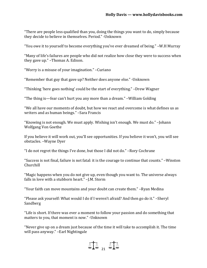"There are people less qualified than you, doing the things you want to do, simply because they decide to believe in themselves. Period." -Unknown

"You owe it to yourself to become everything you've ever dreamed of being." –W.H Murray

"Many of life's failures are people who did not realize how close they were to success when they gave up." –Thomas A. Edison.

"Worry is a misuse of your imagination." –Curiano

"Remember that guy that gave up? Neither does anyone else." -Unknown

"Thinking 'here goes nothing' could be the start of everything." –Drew Wagner

"The thing is—fear can't hurt you any more than a dream." –William Golding

"We all have our moments of doubt, but how we react and overcome is what defines us as writers and as human beings." –Sara Francis

"Knowing is not enough. We must apply. Wishing isn't enough. We must do." –Johann Wolfgang Von Goethe

If you believe it will work out, you'll see opportunities. If you believe it won't, you will see obstacles. –Wayne Dyer

"I do not regret the things I've done, but those I did not do." –Rory Cochrane

"Success is not final, failure is not fatal: it is the courage to continue that counts." –Winston Churchill

"Magic happens when you do not give up, even though you want to. The universe always falls in love with a stubborn heart." –I.M. Storm

"Your faith can move mountains and your doubt can create them." –Ryan Medina

"Please ask yourself: What would I do if I weren't afraid? And then go do it." –Sheryl Sandberg

"Life is short. If there was ever a moment to follow your passion and do something that matters to you, that moment is now." -Unknown

"Never give up on a dream just because of the time it will take to accomplish it. The time will pass anyway." –Earl Nightingale

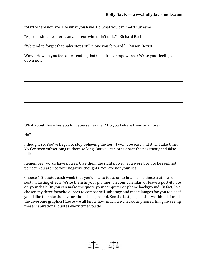"Start where you are. Use what you have. Do what you can." –Arthur Ashe

"A professional writer is an amateur who didn't quit." –Richard Bach

"We tend to forget that baby steps still move you forward." –Raison Dexist

Wow!! How do you feel after reading that? Inspired? Empowered? Write your feelings down now:

What about those lies you told yourself earlier? Do you believe them anymore?

 $No?$ 

I thought so. You've begun to stop believing the lies. It won't be easy and it will take time. You've been subscribing to them so long. But you can break past the negativity and false talk.

Remember, words have power. Give them the right power. You were born to be real, not perfect. You are not your negative thoughts. You are not your lies.

Choose 1-2 quotes each week that you'd like to focus on to internalize these truths and sustain lasting effects. Write them in your planner, on your calendar, or leave a post-it note on your desk. Or you can make the quote your computer or phone background! In fact, I've chosen my three favorite quotes to combat self-sabotage and made images for you to use if you'd like to make them your phone background. See the last page of this workbook for all the awesome graphics! Cause we all know how much we check our phones. Imagine seeing these inspirational quotes every time you do!

 $\text{M}$  ,  $\text{M}$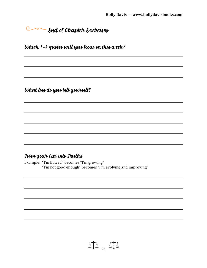## End of Chapter Exercises

Which 1-2 quotes will you focus on this week?

What lies do you tell yourself?

#### Turn your Lies into Truths

Example: "I'm flawed" becomes "I'm growing" "I'm not good enough" becomes "I'm evolving and improving"

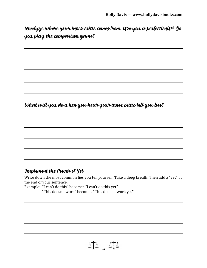Analyze where your inner critic comes from. Are you a perfectionist? Do you play the comparison game?

What will you do when you hear your inner critic tell you lies?

#### Implement the Power of Yet

Write down the most common lies you tell yourself. Take a deep breath. Then add a "yet" at the end of your sentence.

Example: "I can't do this" becomes "I can't do this yet"

"This doesn't work" becomes "This doesn't work yet"

 $\text{A}^{\dagger}_{\text{A}}$  and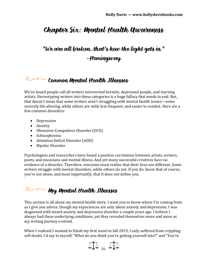## Chapter Six: Mental Health Awareness

## "We are all broken…that's how the light gets in." -Hemingway

#### Common Mental Health Illnesses

We've heard people call all writers introverted hermits, depressed people, and starving artists. Stereotyping writers into these categories is a huge fallacy that needs to end. But, that doesn't mean that some writers aren't struggling with mental health issues—some severely life-altering, while others are mild, less frequent, and easier to combat. Here are a few common disorders:

- Depression
- Anxiety
- Obsessive-Compulsive Disorder (OCD)
- Schizophrenia
- Attention Deficit Disorder (ADD)
- Bipolar Disorder

Psychologists and researchers have found a positive correlation between artists, writers, poets, and musicians and mental illness. And yet many successful creatives have no evidence of a disorder. Therefore, everyone must realize that their lives are different. Some writers struggle with mental disorders, while others do not. If you do, know that of course, you're not alone, and most importantly, that it does not define you.

### — My Mental Health Illnesses

This section is all about my mental health story. I want you to know where I'm coming from as I give you advice, though my experiences are only about anxiety and depression. I was diagnosed with mixed anxiety and depressive disorder a couple years ago. I believe I always had these underlying conditions, yet they revealed themselves more and more as my writing journey evolved.

When I realized I wanted to finish my first novel in fall 2015, I only suffered from crippling self-doubt. I'd say to myself, "What do you think you're getting yourself into?" and "You're

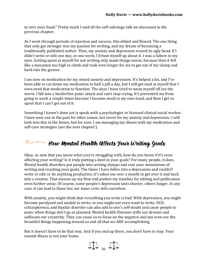in over your head." Pretty much I said all the self-sabotage talk we discussed in the previous chapter.

As I went through periods of rejection and success, this ebbed and flowed. The one thing that only got stronger was my passion for writing, and my dream of becoming a traditionally published author. Thus, my anxiety and depression reared its ugly head. If I didn't write or edit one day, or one week, I'd beat myself up about it. I was a failure in my eyes. Getting upset at myself for not writing only made things worse, because then it felt like a mountain too high to climb and took even longer for me to get out of my slump and back into the groove.

I am now on medication for my mixed anxiety and depression. It's helped a lot, and I've been able to cut down my medication to half a pill a day, but I still get mad at myself that I even need that medication to function. The days I have tried to wean myself off are the worst. I fall into a borderline panic attack and can't stop crying. It's prevented me from going to work a couple times because I become stuck in my own head, and then I get so upset that I can't get out of it.

Something I haven't done yet is speak with a psychologist or licensed clinical social worker. I have seen one in the past for other issues, but never for my anxiety and depression. I will look into this in the future, but for now, I am managing my illness with my medication and self-care strategies (see the next chapter!).

## $-$  How Mental Health Uffects Your Writing Goals

Okay, so now that you know what you're struggling with, how do you know if it's even affecting your writing? Is it truly putting a dent in your goals? For many people, it does. Mental health disorders put people into writing slumps and ruin your momentum of writing and reaching your goals. The times I have fallen into a depression and couldn't write or edit or do anything productive, it's taken me over a month to get over it and back into a routine. That messes up my flow and pushes my timeline for editing and publication even further away. Of course, some people's depression lasts shorter, others longer. In any case, it can lead to those lies our inner critic tells ourselves.

With anxiety, you might think that everything you write is bad. With depression, you might become paralyzed and unable to write, or you might not even want to write. OCD, schizophrenia, and bipolar disorder can also add to one's self-doubt and cause people to panic when things don't go as planned. Mental health illnesses stifle our dreams and suffocate our creativity. They can cause us to focus on the negative and not even see the beautiful things happening around us and all that we ARE accomplishing.

But it doesn't have to be that way. And if you end up there, you don't have to stay. Your mental illness is not your home.

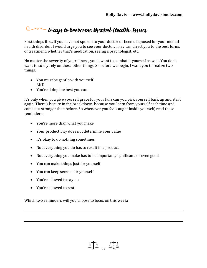#### $Q_{\neg \neg \neg \neg}$  $\sim$  Ways to Gvercome **M**ental Health Issues

First things first, if you have not spoken to your doctor or been diagnosed for your mental health disorder, I would urge you to see your doctor. They can direct you to the best forms of treatment, whether that's medication, seeing a psychologist, etc.

No matter the severity of your illness, you'll want to combat it yourself as well. You don't want to solely rely on these other things. So before we begin, I want you to realize two things:

- You must be gentle with yourself AND
- You're doing the best you can

It's only when you give yourself grace for your falls can you pick yourself back up and start again. There's beauty in the breakdown, because you learn from yourself each time and come out stronger than before. So whenever you feel caught inside yourself, read these reminders:

- You're more than what you make
- Your productivity does not determine your value
- It's okay to do nothing sometimes
- Not everything you do has to result in a product
- Not everything you make has to be important, significant, or even good

 $\text{M}$  ,  $\text{M}$ 

- You can make things just for yourself
- You can keep secrets for yourself
- You're allowed to say no
- You're allowed to rest

Which two reminders will you choose to focus on this week?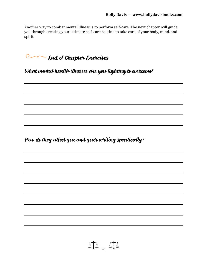Another way to combat mental illness is to perform self-care. The next chapter will guide you through creating your ultimate self-care routine to take care of your body, mind, and spirit.

**End of Chapter Exercises** 

What mental health illnesses are you fighting to overcome?

How do they affect you and your writing specifically?

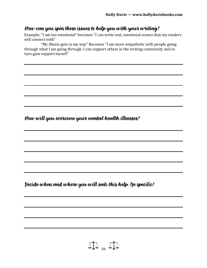#### How can you spin these issues to help you with your writing?

Example: "I am too emotional" becomes "I can write real, emotional scenes that my readers will connect with"

 "My illness gets in my way" Becomes "I am more empathetic with people going through what I am going through. I can support others in the writing community and in turn gain support myself"

How will you overcome your mental health illnesses?

Decide when and where you will seek this help. Be specific!

$$
\mathbb{A}\mathbb{A}_{29} \mathbb{A}\mathbb{A}
$$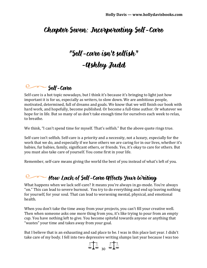## Chapter Seven: Incorporating Self-Care

## "Self-care isn't selfish" -Ashley Judd

#### **Self-Care**

Self-care is a hot topic nowadays, but I think it's because it's bringing to light just how important it is for us, especially as writers, to slow down. We are ambitious people, motivated, determined, full of dreams and goals. We know that we will finish our book with hard work, and hopefully, become published. Or become a full-time author. Or whatever we hope for in life. But so many of us don't take enough time for ourselves each week to relax, to breathe.

We think, "I can't spend time for myself. That's selfish." But the above quote rings true.

Self-care isn't selfish. Self-care is a priority and a necessity, not a luxury, especially for the work that we do, and especially if we have others we are caring for in our lives, whether it's babies, fur babies, family, significant others, or friends. Yes, it's okay to care for others. But you must also take care of yourself. You come first in your life.

Remember, self-care means giving the world the best of you instead of what's left of you.

## **Example 2014** How Lack of Self-Care affects your Writing

What happens when we lack self-care? It means you're always in go-mode. You're always "on." This can lead to severe burnout. You try to do everything and end up leaving nothing for yourself, for your soul. That can lead to worsening mental, physical, and emotional health.

When you don't take the time away from your projects, you can't fill your creative well. Then when someone asks one more thing from you, it's like trying to pour from an empty cup. You have nothing left to give. You become spiteful towards anyone or anything that "wastes" your time and takes away from your goal.

But I believe that is an exhausting and sad place to be. I was in this place last year. I didn't take care of my body. I fell into two depressive writing slumps last year because I was too

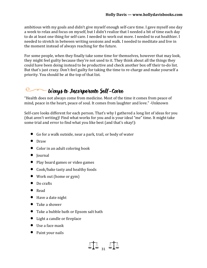ambitious with my goals and didn't give myself enough self-care time. I gave myself one day a week to relax and focus on myself, but I didn't realize that I needed a bit of time each day to do at least one thing for self-care. I needed to work out more. I needed to eat healthier. I needed to stretch in between writing sessions and walk. I needed to meditate and live in the moment instead of always reaching for the future.

For some people, when they finally take some time for themselves, however that may look, they might feel guilty because they're not used to it. They think about all the things they could have been doing instead to be productive and check another box off their to-do list. But that's just crazy. Don't feel guilty for taking the time to re-charge and make yourself a priority. You should be at the top of that list.

#### $\mathbb{C}$ Ways to Incorporate Self-Care

"Health does not always come from medicine. Most of the time it comes from peace of mind, peace in the heart, peace of soul. It comes from laughter and love." -Unknown

Self-care looks different for each person. That's why I gathered a long list of ideas for you (that aren't writing)! Find what works for you and is your ideal "me" time. It might take some trial and error to find what you like best (and that's okay!):

- Go for a walk outside, near a park, trail, or body of water
- Draw
- Color in an adult coloring book
- Journal
- Play board games or video games
- Cook/bake tasty and healthy foods
- Work out (home or gym)
- Do crafts
- Read
- Have a date night
- Take a shower
- Take a bubble bath or Epsom salt bath
- Light a candle or fireplace
- Use a face mask
- Paint your nails

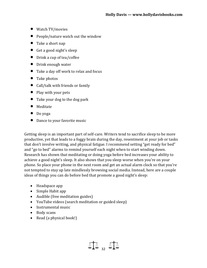- Watch TV/movies
- People/nature watch out the window
- Take a short nap
- Get a good night's sleep
- Drink a cup of tea/coffee
- Drink enough water
- Take a day off work to relax and focus
- Take photos
- Call/talk with friends or family
- Play with your pets
- Take your dog to the dog park
- Meditate
- Do yoga
- Dance to your favorite music

Getting sleep is an important part of self-care. Writers tend to sacrifice sleep to be more productive, yet that leads to a foggy brain during the day, resentment at your job or tasks that don't involve writing, and physical fatigue. I recommend setting "get ready for bed" and "go to bed" alarms to remind yourself each night when to start winding down. Research has shown that meditating or doing yoga before bed increases your ability to achieve a good night's sleep. It also shows that you sleep worse when you're on your phone. So place your phone in the next room and get an actual alarm clock so that you're not tempted to stay up late mindlessly browsing social media. Instead, here are a couple ideas of things you can do before bed that promote a good night's sleep:

- Headspace app
- Simple Habit app
- Audible (free meditation guides)
- YouTube videos (search meditation or guided sleep)
- Instrumental music
- Body scans
- Read (a physical book!)

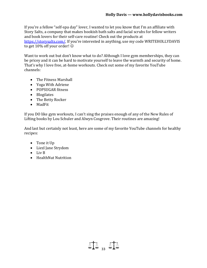If you're a fellow "self-spa day" lover, I wanted to let you know that I'm an affiliate with Story Salts, a company that makes bookish bath salts and facial scrubs for fellow writers and book lovers for their self-care routine! Check out the products at [https://storysalts.com/.](https://storysalts.com/) If you're interested in anything, use my code WRITEHOLLYDAVIS to get 10% off your order!

Want to work out but don't know what to do? Although I love gym memberships, they can be pricey and it can be hard to motivate yourself to leave the warmth and security of home. That's why I love free, at-home workouts. Check out some of my favorite YouTube channels:

- The Fitness Marshall
- Yoga With Adriene
- POPSUGAR fitness
- Blogilates
- The Betty Rocker
- MadFit

If you DO like gym workouts, I can't sing the praises enough of any of the New Rules of Lifting books by Lou Schuler and Alwyn Cosgrove. Their routines are amazing!

And last but certainly not least, here are some of my favorite YouTube channels for healthy recipes:

- Tone it Up
- Liezl Jane Strydom
- Liv B
- HealthNut Nutrition

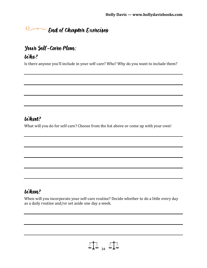## End of Chapter Exercises

#### Your Self-Care Plan:

#### Who?

Is there anyone you'll include in your self-care? Who? Why do you want to include them?

#### What?

What will you do for self-care? Choose from the list above or come up with your own!

#### When?

When will you incorporate your self-care routine? Decide whether to do a little every day as a daily routine and/or set aside one day a week.

 $\text{MA}$  and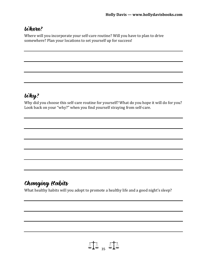#### Where?

Where will you incorporate your self-care routine? Will you have to plan to drive somewhere? Plan your locations to set yourself up for success!

#### Why?

Why did you choose this self-care routine for yourself? What do you hope it will do for you? Look back on your "why?" when you find yourself straying from self-care.

## Changing Habits

What healthy habits will you adopt to promote a healthy life and a good night's sleep?

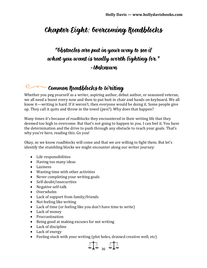## Chapter Eight: Overcoming Roadblocks

### "Obstacles are put in your way to see if what you want is really worth fighting for." -Unknown

#### Common Roadblocks to Writing

Whether you peg yourself as a writer, aspiring author, debut author, or seasoned veteran, we all need a boost every now and then to put butt in chair and hands on keyboard. We all know it—writing is hard. If it weren't, then everyone would be doing it. Some people give up. They call it quits and throw in the towel (pen?). Why does that happen?

Many times it's because of roadblocks they encountered in their writing life that they deemed too high to overcome. But that's not going to happen to you. I can feel it. You have the determination and the drive to push through any obstacle to reach your goals. That's why you're here, reading this. Go you!

Okay, so we know roadblocks will come and that we are willing to fight them. But let's identify the stumbling blocks we might encounter along our writer journey:

- Life responsibilities
- Having too many ideas
- Laziness
- Wasting time with other activities
- Never completing your writing goals
- Self-doubt/insecurities
- Negative self-talk
- Overwhelm
- Lack of support from family/friends
- Not feeling like writing
- Lack of time (or feeling like you don't have time to write)
- Lack of money
- Procrastination
- Being good at making excuses for not writing
- Lack of discipline
- Lack of energy
- Feeling stuck with your writing (plot holes, drained creative well, etc)

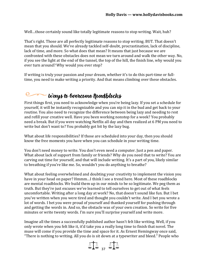Well…those certainly sound like totally legitimate reasons to stop writing. Wait, huh?

That's right. Those are all perfectly legitimate reasons to stop writing. BUT. That doesn't mean that you should. We've already tackled self-doubt, procrastination, lack of discipline, lack of time, and more. So what does that mean? It means that just because we are confronted with these obstacles does not mean we turn around and walk the other way. No, if you see the light at the end of the tunnel, the top of the hill, the finish line, why would you ever turn around? Why would you ever stop?

If writing is truly your passion and your dream, whether it's to do this part-time or fulltime, you need to make writing a priority. And that means climbing over these obstacles.

#### $\circ$ Ways to Overcome Roadblocks

First things first, you need to acknowledge when you're being lazy. If you set a schedule for yourself, it will be instantly recognizable and you can nip it in the bud and get back to your routine. You also need to recognize the difference between being lazy and needing to rest and refill your creative well. Have you been working nonstop for a week? You probably need a break. But if you were watching Netflix all day and then realized at 6 PM you need to write but don't want to? You probably got bit by the lazy bug.

What about life responsibilities? If those are scheduled into your day, then you should know the free moments you have when you can schedule in your writing time.

You don't need money to write. You don't even need a computer. Just a pen and paper. What about lack of support from family or friends? Why do you need that to write? You are carving out time for yourself, and that will include writing. It's a part of you, likely similar to breathing if you're like me. So, wouldn't you do anything to breathe?

What about feeling overwhelmed and doubting your creativity to implement the vision you have in your head on paper? Hmmm…I think I see a trend here. Most of these roadblocks are mental roadblocks. We build them up in our minds to be so legitimate. We peg them as truth. But they're just excuses we've learned to tell ourselves to get out of what feels uncomfortable. Writing after a long day at work? No, that doesn't sound like fun. But I bet you've written when you were tired and thought you couldn't write. And I bet you wrote a lot of words. I bet you were proud of yourself and thanked yourself for pushing through and getting the words in. And so, the obstacle was of your own creation. So write for five minutes or write twenty words. I'm sure you'll surprise yourself and write more.

Imagine all the times a successfully published author hasn't felt like writing. Well, if you only wrote when you felt like it, it'd take you a really long time to finish that novel. The muse will come if you provide the time and space for it. As Ernest Hemingway once said, "There is nothing to writing. All you do is sit down at a typewriter and bleed." People who

 $\Delta T$  37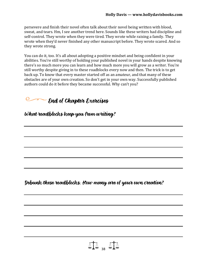persevere and finish their novel often talk about their novel being written with blood, sweat, and tears. Hm, I see another trend here. Sounds like these writers had discipline and self-control. They wrote when they were tired. They wrote while raising a family. They wrote when they'd never finished any other manuscript before. They wrote scared. And so they wrote strong.

You can do it, too. It's all about adopting a positive mindset and being confident in your abilities. You're still worthy of holding your published novel in your hands despite knowing there's so much more you can learn and how much more you will grow as a writer. You're still worthy despite giving in to these roadblocks every now and then. The trick is to get back up. To know that every master started off as an amateur, and that many of these obstacles are of your own creation. So don't get in your own way. Successfully published authors could do it before they became successful. Why can't you?

 $\sim$  End of Chapter Exercises

# What roadblocks keep you from writing?

Debunk these roadblocks. How many are of your own creation?

 $\text{MA}$  .  $\text{MA}$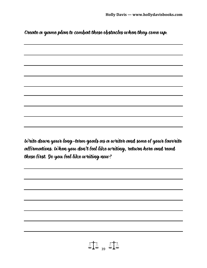Create a game plan to combat these obstacles when they come up.

Write down your long-term goals as a writer and some of your favorite affirmations. When you don't feel like writing, return here and read these first. Do you feel like writing now?

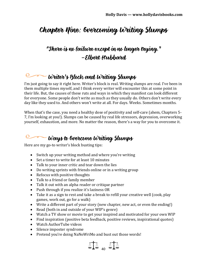## Chapter Nine: Overcoming Writing Slumps

#### "There is no failure except in no longer trying." –Elbert Hubbard

### Writer's Block and Writing Slumps

I'm just going to say it right here. Writer's block is real. Writing slumps are real. I've been in them multiple times myself, and I think every writer will encounter this at some point in their life. But, the causes of these ruts and ways in which they manifest can look different for everyone. Some people don't write as much as they usually do. Others don't write every day like they used to. And others won't write at all. For days. Weeks. Sometimes months.

When that's the case, you need a healthy dose of positivity and self-care (ahem, Chapters 5- 7, I'm looking at you!). Slumps can be caused by real life stressors, depression, overworking yourself, exhaustion, and more. No matter the reason, there's a way for you to overcome it.

#### O -Ways to Overcome Writing Slumps

Here are my go-to writer's block busting tips:

- Switch up your writing method and where you're writing
- Set a timer to write for at least 10 minutes
- Talk to your inner critic and tear down the lies
- Do writing sprints with friends online or in a writing group
- Refocus with positive thoughts
- Talk to a friend or family member
- Talk it out with an alpha reader or critique partner
- Push through if you realize it's laziness OR
- Take it as a sign to rest and take a break to refill your creative well (cook, play games, work out, go for a walk)
- Write a different part of your story (new chapter, new act, or even the ending!)
- Read (both in and outside of your WIP's genre)
- Watch a TV show or movie to get your inspired and motivated for your own WIP
- Find inspiration (positive beta feedback, positive reviews, inspirational quotes)
- Watch AuthorTube videos
- Silence imposter syndrome
- Pretend you're doing NaNoWriMo and bust out those words!

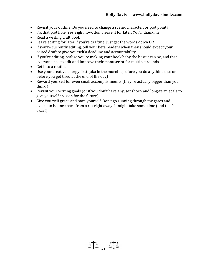- Revisit your outline. Do you need to change a scene, character, or plot point?
- Fix that plot hole. Yes, right now, don't leave it for later. You'll thank me
- Read a writing craft book
- Leave editing for later if you're drafting. Just get the words down OR
- If you're currently editing, tell your beta readers when they should expect your edited draft to give yourself a deadline and accountability
- If you're editing, realize you're making your book baby the best it can be, and that everyone has to edit and improve their manuscript for multiple rounds
- Get into a routine
- Use your creative energy first (aka in the morning before you do anything else or before you get tired at the end of the day)
- Reward yourself for even small accomplishments (they're actually bigger than you think!)
- Revisit your writing goals (or if you don't have any, set short- and long-term goals to give yourself a vision for the future)
- Give yourself grace and pace yourself. Don't go running through the gates and expect to bounce back from a rut right away. It might take some time (and that's okay!)

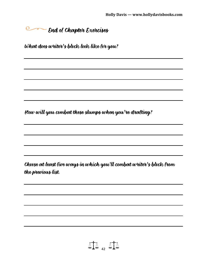## **End of Chapter Exercises**

What does writer's block look like for you?

How will you combat these slumps when you're drafting?

Choose at least five ways in which you'll combat writer's block from the previous list.

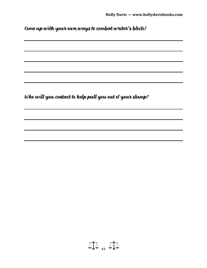Come up with your own ways to combat writer's block!

Who will you contact to help pull you out of your slump?

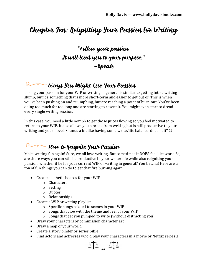## Chapter Ten: Reigniting Your Passion for Writing

#### "Follow your passion. It will lead you to your purpose." –Oprah

#### Ways You Might Lose Your Passion

Losing your passion for your WIP or writing in general is similar to getting into a writing slump, but it's something that's more short-term and easier to get out of. This is when you've been pushing on and triumphing, but are reaching a point of burn-out. You've been doing too much for too long and are starting to resent it. You might even start to dread every single writing session.

In this case, you need a little oomph to get those juices flowing so you feel motivated to return to your WIP. It also allows you a break from writing but is still productive to your writing and your novel. Sounds a bit like having some write/life balance, doesn't it?

## How to Reignite Your Passion

Make writing fun again! Sure, we all love writing. But sometimes it DOES feel like work. So, are there ways you can still be productive in your writer life while also reigniting your passion, whether it be for your current WIP or writing in general? You betcha! Here are a ton of fun things you can do to get that fire burning again:

- Create aesthetic boards for your WIP
	- o Characters
	- o Setting
	- o Quotes
	- o Relationships
- Create a WIP or writing playlist
	- o Specific songs related to scenes in your WIP
	- o Songs that vibe with the theme and feel of your WIP
	- o Songs that get you pumped to write (without distracting you)
- Draw your characters or commission character art
- Draw a map of your world
- Create a story binder or series bible
- Find actors and actresses who'd play your characters in a movie or Netflix series :P

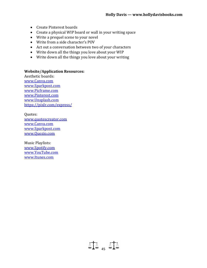- Create Pinterest boards
- Create a physical WIP board or wall in your writing space
- Write a prequel scene to your novel
- Write from a side character's POV
- Act out a conversation between two of your characters
- Write down all the things you love about your WIP
- Write down all the things you love about your writing

#### **Website/Application Resources:**

Aesthetic boards: [www.Canva.com](http://www.canva.com/) [www.Sparkpost.com](http://www.sparkpost.com/) [www.Picframe.com](http://www.picframe.com/) [www.Pinterest.com](http://www.pinterest.com/) [www.Unsplash.com](http://www.unsplash.com/) <https://pixlr.com/express/>

Quotes: [www.quotescreator.com](http://www.quotescreator.com/) [www.Canva.com](http://www.canva.com/) [www.Sparkpost.com](http://www.sparkpost.com/) [www.Quozio.com](http://www.quozio.com/)

Music Playlists: [www.Spotify.com](http://www.spotify.com/) [www.YouTube.com](http://www.youtube.com/) [www.Itunes.com](http://www.itunes.com/)

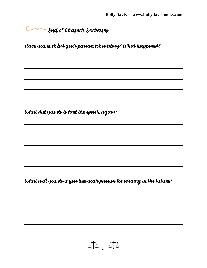**End of Chapter Exercises** 

Have you ever lost your passion for writing? What happened?

What did you do to find the spark again?

What will you do if you lose your passion for writing in the future?

 $\Lambda$ 146  $\Lambda$ 14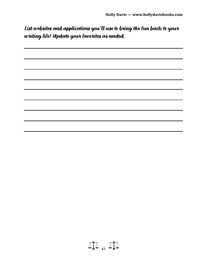List websites and applications you'll use to bring the fun back to your writing life! Update your favorites as needed.



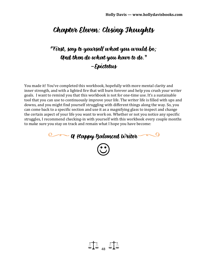### Chapter Eleven: Closing Thoughts

### "First, say to yourself what you would be; And then do what you have to do." –Epictetus

You made it! You've completed this workbook, hopefully with more mental clarity and inner strength, and with a lighted fire that will burn forever and help you crush your writer goals. I want to remind you that this workbook is not for one-time use. It's a sustainable tool that you can use to continuously improve your life. The writer life is filled with ups and downs, and you might find yourself struggling with different things along the way. So, you can come back to a specific section and use it as a magnifying glass to inspect and change the certain aspect of your life you want to work on. Whether or not you notice any specific struggles, I recommend checking-in with yourself with this workbook every couple months to make sure you stay on track and remain what I hope you have become:



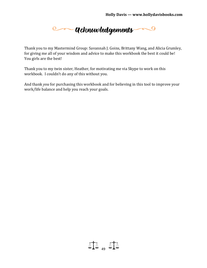**Communication Communication Communication Communication Communication Communication Communication** 

Thank you to my Mastermind Group: Savannah J. Goins, Brittany Wang, and Alicia Grumley, for giving me all of your wisdom and advice to make this workbook the best it could be! You girls are the best!

Thank you to my twin sister, Heather, for motivating me via Skype to work on this workbook. I couldn't do any of this without you.

And thank *you* for purchasing this workbook and for believing in this tool to improve your work/life balance and help you reach your goals.

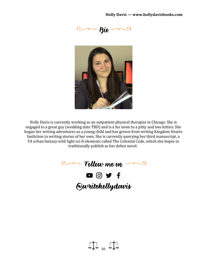



Holly Davis is currently working as an outpatient physical therapist in Chicago. She is engaged to a great guy (wedding date TBD) and is a fur mom to a pitty and two kitties. She began her writing adventures as a young child and has grown from writing Kingdom Hearts fanfiction to writing stories of her own. She is currently querying her third manuscript, a YA urban fantasy with light sci-fi elements called The Celestial Code, which she hopes to traditionally publish as her debut novel.